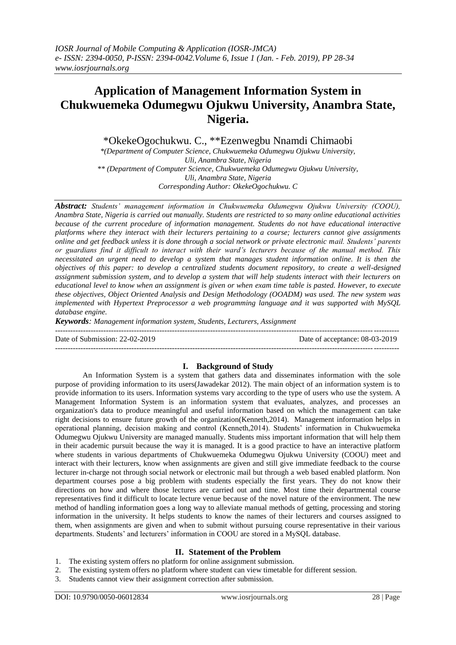# **Application of Management Information System in Chukwuemeka Odumegwu Ojukwu University, Anambra State, Nigeria.**

\*OkekeOgochukwu. C., \*\*Ezenwegbu Nnamdi Chimaobi

*\*(Department of Computer Science, Chukwuemeka Odumegwu Ojukwu University, Uli, Anambra State, Nigeria \*\* (Department of Computer Science, Chukwuemeka Odumegwu Ojukwu University, Uli, Anambra State, Nigeria Corresponding Author: OkekeOgochukwu. C*

*Abstract: Students' management information in Chukwuemeka Odumegwu Ojukwu University (COOU), Anambra State, Nigeria is carried out manually. Students are restricted to so many online educational activities because of the current procedure of information management. Students do not have educational interactive platforms where they interact with their lecturers pertaining to a course; lecturers cannot give assignments online and get feedback unless it is done through a social network or private electronic mail. Students' parents or guardians find it difficult to interact with their ward's lecturers because of the manual method. This necessitated an urgent need to develop a system that manages student information online. It is then the objectives of this paper: to develop a centralized students document repository, to create a well-designed assignment submission system, and to develop a system that will help students interact with their lecturers on educational level to know when an assignment is given or when exam time table is pasted. However, to execute these objectives, Object Oriented Analysis and Design Methodology (OOADM) was used. The new system was implemented with Hypertext Preprocessor a web programming language and it was supported with MySQL database engine.*

*Keywords: Management information system, Students, Lecturers, Assignment* ---------------------------------------------------------------------------------------------------------------------------------------

Date of Submission: 22-02-2019 Date of acceptance: 08-03-2019

## **I. Background of Study**

---------------------------------------------------------------------------------------------------------------------------------------

An Information System is a system that gathers data and disseminates information with the sole purpose of providing information to its users(Jawadekar 2012). The main object of an information system is to provide information to its users. Information systems vary according to the type of users who use the system. A Management Information System is an information system that evaluates, analyzes, and processes an organization's data to produce meaningful and useful information based on which the management can take right decisions to ensure future growth of the organization(Kenneth,2014). Management information helps in operational planning, decision making and control (Kenneth,2014). Students' information in Chukwuemeka Odumegwu Ojukwu University are managed manually. Students miss important information that will help them in their academic pursuit because the way it is managed. It is a good practice to have an interactive platform where students in various departments of Chukwuemeka Odumegwu Ojukwu University (COOU) meet and interact with their lecturers, know when assignments are given and still give immediate feedback to the course lecturer in-charge not through social network or electronic mail but through a web based enabled platform. Non department courses pose a big problem with students especially the first years. They do not know their directions on how and where those lectures are carried out and time. Most time their departmental course representatives find it difficult to locate lecture venue because of the novel nature of the environment. The new method of handling information goes a long way to alleviate manual methods of getting, processing and storing information in the university. It helps students to know the names of their lecturers and courses assigned to them, when assignments are given and when to submit without pursuing course representative in their various departments. Students' and lecturers' information in COOU are stored in a MySQL database.

## **II. Statement of the Problem**

- 1. The existing system offers no platform for online assignment submission.
- 2. The existing system offers no platform where student can view timetable for different session.
- 3. Students cannot view their assignment correction after submission.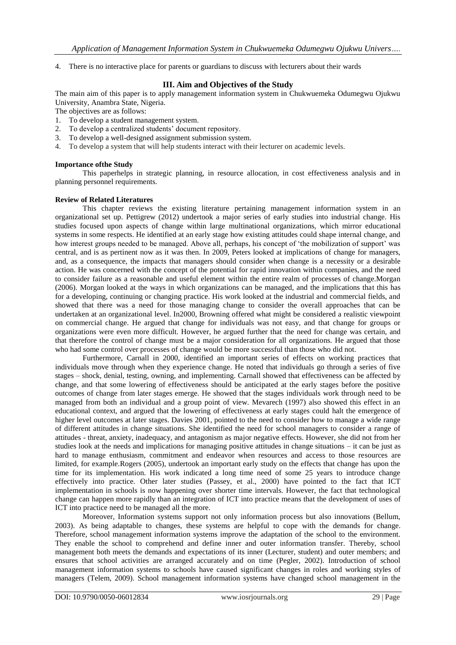4. There is no interactive place for parents or guardians to discuss with lecturers about their wards

# **III. Aim and Objectives of the Study**

The main aim of this paper is to apply management information system in Chukwuemeka Odumegwu Ojukwu University, Anambra State, Nigeria.

The objectives are as follows:

- 1. To develop a student management system.
- 2. To develop a centralized students' document repository.
- 3. To develop a well-designed assignment submission system.
- 4. To develop a system that will help students interact with their lecturer on academic levels.

## **Importance ofthe Study**

This paperhelps in strategic planning, in resource allocation, in cost effectiveness analysis and in planning personnel requirements.

## **Review of Related Literatures**

This chapter reviews the existing literature pertaining management information system in an organizational set up. Pettigrew (2012) undertook a major series of early studies into industrial change. His studies focused upon aspects of change within large multinational organizations, which mirror educational systems in some respects. He identified at an early stage how existing attitudes could shape internal change, and how interest groups needed to be managed. Above all, perhaps, his concept of 'the mobilization of support' was central, and is as pertinent now as it was then. In 2009, Peters looked at implications of change for managers, and, as a consequence, the impacts that managers should consider when change is a necessity or a desirable action. He was concerned with the concept of the potential for rapid innovation within companies, and the need to consider failure as a reasonable and useful element within the entire realm of processes of change.Morgan (2006). Morgan looked at the ways in which organizations can be managed, and the implications that this has for a developing, continuing or changing practice. His work looked at the industrial and commercial fields, and showed that there was a need for those managing change to consider the overall approaches that can be undertaken at an organizational level. In2000, Browning offered what might be considered a realistic viewpoint on commercial change. He argued that change for individuals was not easy, and that change for groups or organizations were even more difficult. However, he argued further that the need for change was certain, and that therefore the control of change must be a major consideration for all organizations. He argued that those who had some control over processes of change would be more successful than those who did not.

Furthermore, Carnall in 2000, identified an important series of effects on working practices that individuals move through when they experience change. He noted that individuals go through a series of five stages – shock, denial, testing, owning, and implementing. Carnall showed that effectiveness can be affected by change, and that some lowering of effectiveness should be anticipated at the early stages before the positive outcomes of change from later stages emerge. He showed that the stages individuals work through need to be managed from both an individual and a group point of view. Mevarech (1997) also showed this effect in an educational context, and argued that the lowering of effectiveness at early stages could halt the emergence of higher level outcomes at later stages. Davies 2001, pointed to the need to consider how to manage a wide range of different attitudes in change situations. She identified the need for school managers to consider a range of attitudes - threat, anxiety, inadequacy, and antagonism as major negative effects. However, she did not from her studies look at the needs and implications for managing positive attitudes in change situations – it can be just as hard to manage enthusiasm, commitment and endeavor when resources and access to those resources are limited, for example.Rogers (2005), undertook an important early study on the effects that change has upon the time for its implementation. His work indicated a long time need of some 25 years to introduce change effectively into practice. Other later studies (Passey, et al., 2000) have pointed to the fact that ICT implementation in schools is now happening over shorter time intervals. However, the fact that technological change can happen more rapidly than an integration of ICT into practice means that the development of uses of ICT into practice need to be managed all the more.

Moreover, Information systems support not only information process but also innovations (Bellum, 2003). As being adaptable to changes, these systems are helpful to cope with the demands for change. Therefore, school management information systems improve the adaptation of the school to the environment. They enable the school to comprehend and define inner and outer information transfer. Thereby, school management both meets the demands and expectations of its inner (Lecturer, student) and outer members; and ensures that school activities are arranged accurately and on time (Pegler, 2002). Introduction of school management information systems to schools have caused significant changes in roles and working styles of managers (Telem, 2009). School management information systems have changed school management in the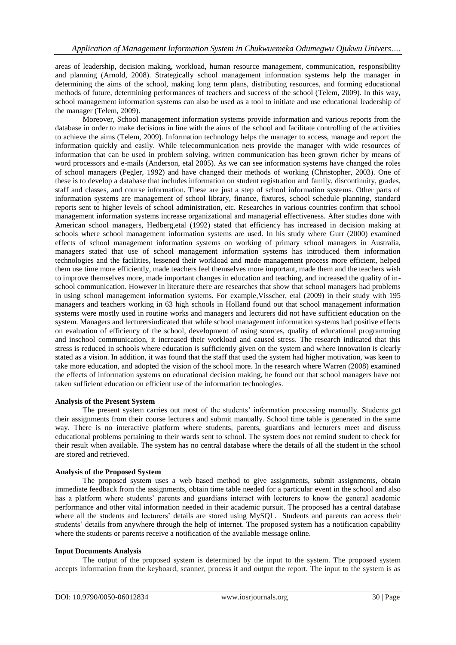areas of leadership, decision making, workload, human resource management, communication, responsibility and planning (Arnold, 2008). Strategically school management information systems help the manager in determining the aims of the school, making long term plans, distributing resources, and forming educational methods of future, determining performances of teachers and success of the school (Telem, 2009). In this way, school management information systems can also be used as a tool to initiate and use educational leadership of the manager (Telem, 2009).

Moreover, School management information systems provide information and various reports from the database in order to make decisions in line with the aims of the school and facilitate controlling of the activities to achieve the aims (Telem, 2009). Information technology helps the manager to access, manage and report the information quickly and easily. While telecommunication nets provide the manager with wide resources of information that can be used in problem solving, written communication has been grown richer by means of word processors and e-mails (Anderson, etal 2005). As we can see information systems have changed the roles of school managers (Pegler, 1992) and have changed their methods of working (Christopher, 2003). One of these is to develop a database that includes information on student registration and family, discontinuity, grades, staff and classes, and course information. These are just a step of school information systems. Other parts of information systems are management of school library, finance, fixtures, school schedule planning, standard reports sent to higher levels of school administration, etc. Researches in various countries confirm that school management information systems increase organizational and managerial effectiveness. After studies done with American school managers, Hedberg,etal (1992) stated that efficiency has increased in decision making at schools where school management information systems are used. In his study where Gurr (2000) examined effects of school management information systems on working of primary school managers in Australia, managers stated that use of school management information systems has introduced them information technologies and the facilities, lessened their workload and made management process more efficient, helped them use time more efficiently, made teachers feel themselves more important, made them and the teachers wish to improve themselves more, made important changes in education and teaching, and increased the quality of inschool communication. However in literature there are researches that show that school managers had problems in using school management information systems. For example,Visscher, etal (2009) in their study with 195 managers and teachers working in 63 high schools in Holland found out that school management information systems were mostly used in routine works and managers and lecturers did not have sufficient education on the system. Managers and lecturersindicated that while school management information systems had positive effects on evaluation of efficiency of the school, development of using sources, quality of educational programming and inschool communication, it increased their workload and caused stress. The research indicated that this stress is reduced in schools where education is sufficiently given on the system and where innovation is clearly stated as a vision. In addition, it was found that the staff that used the system had higher motivation, was keen to take more education, and adopted the vision of the school more. In the research where Warren (2008) examined the effects of information systems on educational decision making, he found out that school managers have not taken sufficient education on efficient use of the information technologies.

## **Analysis of the Present System**

The present system carries out most of the students' information processing manually. Students get their assignments from their course lecturers and submit manually. School time table is generated in the same way. There is no interactive platform where students, parents, guardians and lecturers meet and discuss educational problems pertaining to their wards sent to school. The system does not remind student to check for their result when available. The system has no central database where the details of all the student in the school are stored and retrieved.

#### **Analysis of the Proposed System**

The proposed system uses a web based method to give assignments, submit assignments, obtain immediate feedback from the assignments, obtain time table needed for a particular event in the school and also has a platform where students' parents and guardians interact with lecturers to know the general academic performance and other vital information needed in their academic pursuit. The proposed has a central database where all the students and lecturers' details are stored using MySQL. Students and parents can access their students' details from anywhere through the help of internet. The proposed system has a notification capability where the students or parents receive a notification of the available message online.

#### **Input Documents Analysis**

The output of the proposed system is determined by the input to the system. The proposed system accepts information from the keyboard, scanner, process it and output the report. The input to the system is as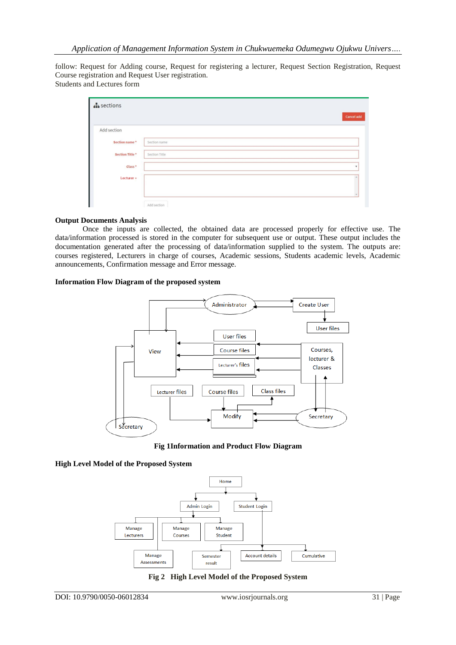follow: Request for Adding course, Request for registering a lecturer, Request Section Registration, Request Course registration and Request User registration. Students and Lectures form

| $\mathbf{h}$ sections |               |            |
|-----------------------|---------------|------------|
|                       |               | Cancel add |
| Add section           |               |            |
| Section name *        | Section name  |            |
| Section Title*        | Section Title |            |
| Class <sup>*</sup>    |               | ٠          |
| Lecturer »            |               |            |
|                       |               |            |
| L                     | Add section   |            |

#### **Output Documents Analysis**

Once the inputs are collected, the obtained data are processed properly for effective use. The data/information processed is stored in the computer for subsequent use or output. These output includes the documentation generated after the processing of data/information supplied to the system. The outputs are: courses registered, Lecturers in charge of courses, Academic sessions, Students academic levels, Academic announcements, Confirmation message and Error message.

### **Information Flow Diagram of the proposed system**



**Fig 1Information and Product Flow Diagram**

#### **High Level Model of the Proposed System**



**Fig 2 High Level Model of the Proposed System**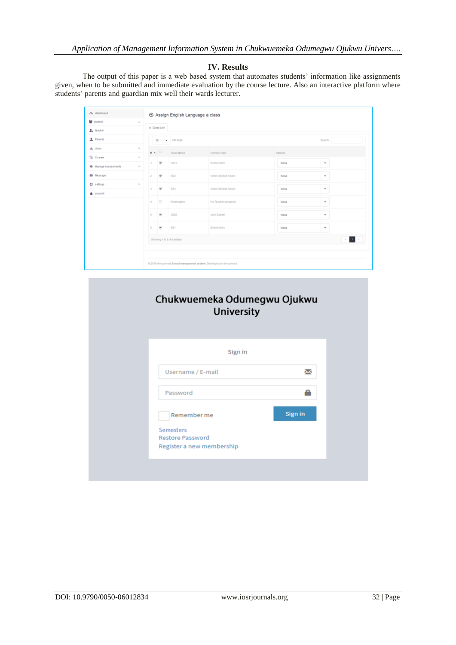## **IV. Results**

The output of this paper is a web based system that automates students' information like assignments given, when to be submitted and immediate evaluation by the course lecture. Also an interactive platform where students' parents and guardian mix well their wards lecturer.

| $Q_1$ dashboard        |              |                                                                     |                      | ⊙ Assign English Language a class |                       |         |                           |
|------------------------|--------------|---------------------------------------------------------------------|----------------------|-----------------------------------|-----------------------|---------|---------------------------|
| 발 student              | $\mathbf{p}$ |                                                                     |                      |                                   |                       |         |                           |
| <b>It</b> , teacher    |              | = Class List                                                        |                      |                                   |                       |         |                           |
| 1 Parents              |              |                                                                     |                      | 10 - perpage                      |                       |         | Search:                   |
| $h$ dass               | $\mathbb{R}$ | $\mathbf{r}$ $\sim$                                                 |                      | Class Name                        | Current Tutor         | Options |                           |
| Q <sub>2</sub> Courses | $\mathbf{p}$ |                                                                     |                      |                                   |                       |         |                           |
| C: Manage Assessments  | $\geq$       | т.                                                                  | ×                    | <b>JSS1</b>                       | Elone Olum            | None    | ٠                         |
| as Message             |              | $\mathbf{2}$                                                        | ×                    | \$82                              | Victor City Man Amobi | None    | ٠                         |
| $Q$ settings           | $\mathbb{R}$ | $\overline{3}$                                                      | ×                    | \$83                              | Victor City Man Amobi | None    | ٠                         |
| account                |              |                                                                     |                      |                                   |                       |         |                           |
|                        |              | $\Delta$                                                            | $\qquad \qquad \Box$ | Kindergaten                       | No Teacher assigned   | None    | ٠                         |
|                        |              | 5                                                                   | ×                    | ,382                              | <b>Jack Gabriel</b>   | None    | $\sim$                    |
|                        |              | 6                                                                   | ×                    | \$91                              | Eltene Olum           | None    | $\mathbf{v}$              |
|                        |              |                                                                     |                      | Showing 1 to 6 of 6 entries       |                       |         | $\mathcal{A}=\mathcal{A}$ |
|                        |              |                                                                     |                      |                                   |                       |         |                           |
|                        |              | @ 2016 dimconnect School management system. Developed by dimconnect |                      |                                   |                       |         |                           |

| Sign in<br>χ<br>Username / E-mail<br>Password<br>Sign in<br>Remember me<br><b>Semesters</b><br><b>Restore Password</b> | Chukwuemeka Odumegwu Ojukwu<br><b>University</b> |  |
|------------------------------------------------------------------------------------------------------------------------|--------------------------------------------------|--|
|                                                                                                                        |                                                  |  |
|                                                                                                                        |                                                  |  |
|                                                                                                                        |                                                  |  |
|                                                                                                                        |                                                  |  |
|                                                                                                                        |                                                  |  |
|                                                                                                                        |                                                  |  |
|                                                                                                                        | Register a new membership                        |  |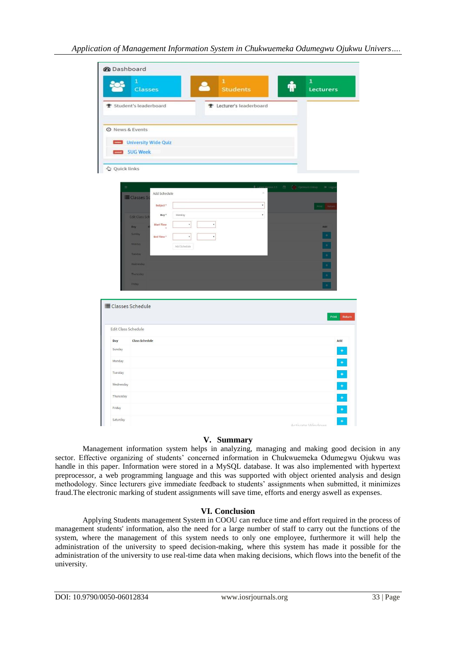| <b>@</b> Dashboard  |                                                                                      |                                 |                                                    |
|---------------------|--------------------------------------------------------------------------------------|---------------------------------|----------------------------------------------------|
|                     | 1<br><b>Classes</b>                                                                  | $\bf{1}$<br><b>Students</b>     | $\mathbf{1}$<br>$\ddot{\mathbf{q}}_0$<br>Lecturers |
|                     | <b>▼</b> Student's leaderboard                                                       | <b>全</b> Lecturer's leaderboard |                                                    |
|                     |                                                                                      |                                 |                                                    |
| O News & Events     | University Wide Quiz                                                                 |                                 |                                                    |
|                     | SUG Week                                                                             |                                 |                                                    |
| Quick links         |                                                                                      |                                 |                                                    |
|                     |                                                                                      |                                 |                                                    |
|                     | Add Schedule<br>E Classes S                                                          | $\sin 2.5$<br>$\!\times\!$      | Optimum Linkup<br>$\Box$<br>$\Theta$ Logs          |
|                     | Subject <sup>*</sup>                                                                 | $^\star$                        | Print Retur                                        |
|                     | Day*<br>Monday<br><b>Edit Class Sch</b>                                              | $^\mathrm{v}$                   |                                                    |
|                     | <b>Start Time</b><br>$\pmb{\mathrm{v}}$<br>$\overline{\phantom{a}}$<br>Day<br>Sunday |                                 | Add                                                |
|                     | $^\star$<br>End Time <sup>*</sup><br>$^\star$<br>Monday<br>Add Schedule              |                                 | $\pm$<br>$\pm$                                     |
|                     | Tuesday                                                                              |                                 | $\overline{\phantom{a}}$                           |
|                     | Wednesday                                                                            |                                 | Ξ                                                  |
|                     | Thurusday                                                                            |                                 | Ξ                                                  |
|                     | Friday                                                                               |                                 |                                                    |
|                     | <b>E Classes Schedule</b>                                                            |                                 |                                                    |
|                     |                                                                                      |                                 | Print<br>Return                                    |
| Edit Class Schedule |                                                                                      |                                 |                                                    |
| Day                 | <b>Class Schedule</b>                                                                |                                 | Add                                                |
| Sunday              |                                                                                      |                                 | $\pm$                                              |
| Monday              |                                                                                      |                                 | $\ddot{\bullet}$                                   |
| Tuesday             |                                                                                      |                                 | $\frac{1}{\sqrt{2}}$                               |
| Wednesday           |                                                                                      |                                 | $\begin{array}{c} \bullet \end{array}$             |
| Thurusday           |                                                                                      |                                 | $\frac{+}{+}$                                      |
| Friday              |                                                                                      |                                 |                                                    |
| Saturday            |                                                                                      |                                 | $\ddot{\bullet}$<br>Activate Windows               |

### **V. Summary**

Management information system helps in analyzing, managing and making good decision in any sector. Effective organizing of students' concerned information in Chukwuemeka Odumegwu Ojukwu was handle in this paper. Information were stored in a MySQL database. It was also implemented with hypertext preprocessor, a web programming language and this was supported with object oriented analysis and design methodology. Since lecturers give immediate feedback to students' assignments when submitted, it minimizes fraud.The electronic marking of student assignments will save time, efforts and energy aswell as expenses.

## **VI. Conclusion**

Applying Students management System in COOU can reduce time and effort required in the process of management students' information, also the need for a large number of staff to carry out the functions of the system, where the management of this system needs to only one employee, furthermore it will help the administration of the university to speed decision-making, where this system has made it possible for the administration of the university to use real-time data when making decisions, which flows into the benefit of the university.